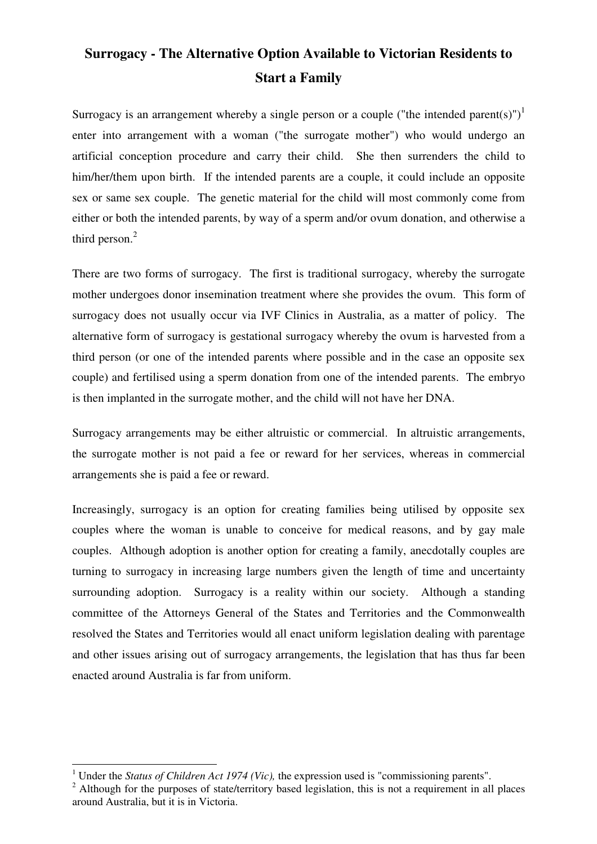# **Surrogacy - The Alternative Option Available to Victorian Residents to Start a Family**

Surrogacy is an arrangement whereby a single person or a couple ("the intended parent(s)")<sup>1</sup> enter into arrangement with a woman ("the surrogate mother") who would undergo an artificial conception procedure and carry their child. She then surrenders the child to him/her/them upon birth. If the intended parents are a couple, it could include an opposite sex or same sex couple. The genetic material for the child will most commonly come from either or both the intended parents, by way of a sperm and/or ovum donation, and otherwise a third person.<sup>2</sup>

There are two forms of surrogacy. The first is traditional surrogacy, whereby the surrogate mother undergoes donor insemination treatment where she provides the ovum. This form of surrogacy does not usually occur via IVF Clinics in Australia, as a matter of policy. The alternative form of surrogacy is gestational surrogacy whereby the ovum is harvested from a third person (or one of the intended parents where possible and in the case an opposite sex couple) and fertilised using a sperm donation from one of the intended parents. The embryo is then implanted in the surrogate mother, and the child will not have her DNA.

Surrogacy arrangements may be either altruistic or commercial. In altruistic arrangements, the surrogate mother is not paid a fee or reward for her services, whereas in commercial arrangements she is paid a fee or reward.

Increasingly, surrogacy is an option for creating families being utilised by opposite sex couples where the woman is unable to conceive for medical reasons, and by gay male couples. Although adoption is another option for creating a family, anecdotally couples are turning to surrogacy in increasing large numbers given the length of time and uncertainty surrounding adoption. Surrogacy is a reality within our society. Although a standing committee of the Attorneys General of the States and Territories and the Commonwealth resolved the States and Territories would all enact uniform legislation dealing with parentage and other issues arising out of surrogacy arrangements, the legislation that has thus far been enacted around Australia is far from uniform.

 $\overline{a}$ 

<sup>&</sup>lt;sup>1</sup> Under the *Status of Children Act 1974 (Vic)*, the expression used is "commissioning parents".

 $2$  Although for the purposes of state/territory based legislation, this is not a requirement in all places around Australia, but it is in Victoria.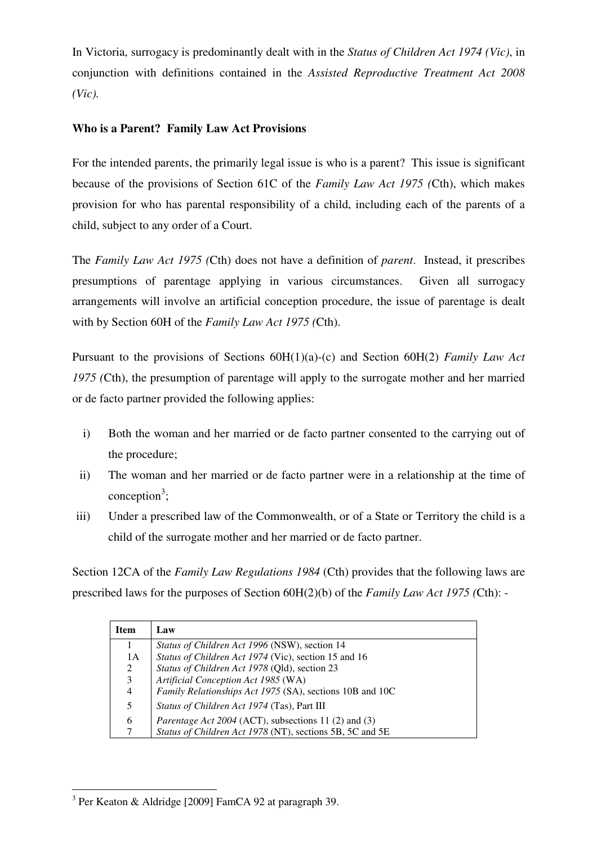In Victoria, surrogacy is predominantly dealt with in the *Status of Children Act 1974 (Vic)*, in conjunction with definitions contained in the *Assisted Reproductive Treatment Act 2008 (Vic).*

## **Who is a Parent? Family Law Act Provisions**

For the intended parents, the primarily legal issue is who is a parent? This issue is significant because of the provisions of Section 61C of the *Family Law Act 1975 (*Cth), which makes provision for who has parental responsibility of a child, including each of the parents of a child, subject to any order of a Court.

The *Family Law Act 1975 (*Cth) does not have a definition of *parent*. Instead, it prescribes presumptions of parentage applying in various circumstances. Given all surrogacy arrangements will involve an artificial conception procedure, the issue of parentage is dealt with by Section 60H of the *Family Law Act 1975 (*Cth).

Pursuant to the provisions of Sections 60H(1)(a)-(c) and Section 60H(2) *Family Law Act 1975 (*Cth), the presumption of parentage will apply to the surrogate mother and her married or de facto partner provided the following applies:

- i) Both the woman and her married or de facto partner consented to the carrying out of the procedure;
- ii) The woman and her married or de facto partner were in a relationship at the time of conception<sup>3</sup>;
- iii) Under a prescribed law of the Commonwealth, or of a State or Territory the child is a child of the surrogate mother and her married or de facto partner.

Section 12CA of the *Family Law Regulations 1984* (Cth) provides that the following laws are prescribed laws for the purposes of Section 60H(2)(b) of the *Family Law Act 1975 (*Cth): -

| <b>Item</b> | Law                                                         |
|-------------|-------------------------------------------------------------|
|             | <i>Status of Children Act 1996</i> (NSW), section 14        |
| 1A          | Status of Children Act 1974 (Vic), section 15 and 16        |
| 2           | Status of Children Act 1978 (Qld), section 23               |
| 3           | Artificial Conception Act 1985 (WA)                         |
| 4           | Family Relationships Act 1975 (SA), sections 10B and 10C    |
| 5           | Status of Children Act 1974 (Tas), Part III                 |
| 6           | <i>Parentage Act 2004</i> (ACT), subsections 11 (2) and (3) |
| 7           | Status of Children Act 1978 (NT), sections 5B, 5C and 5E    |

 $\overline{a}$ <sup>3</sup> Per Keaton & Aldridge [2009] FamCA 92 at paragraph 39.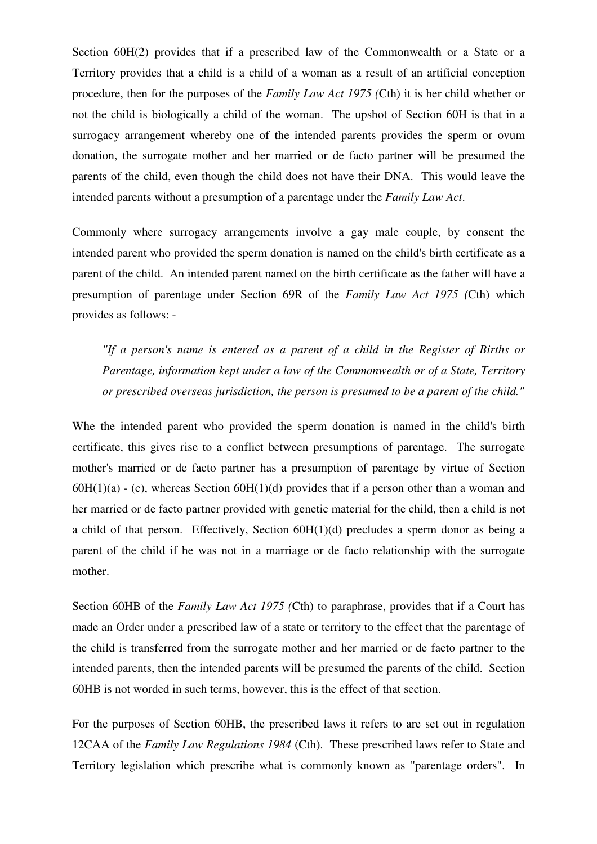Section 60H(2) provides that if a prescribed law of the Commonwealth or a State or a Territory provides that a child is a child of a woman as a result of an artificial conception procedure, then for the purposes of the *Family Law Act 1975 (*Cth) it is her child whether or not the child is biologically a child of the woman. The upshot of Section 60H is that in a surrogacy arrangement whereby one of the intended parents provides the sperm or ovum donation, the surrogate mother and her married or de facto partner will be presumed the parents of the child, even though the child does not have their DNA. This would leave the intended parents without a presumption of a parentage under the *Family Law Act*.

Commonly where surrogacy arrangements involve a gay male couple, by consent the intended parent who provided the sperm donation is named on the child's birth certificate as a parent of the child. An intended parent named on the birth certificate as the father will have a presumption of parentage under Section 69R of the *Family Law Act 1975 (*Cth) which provides as follows: -

*"If a person's name is entered as a parent of a child in the Register of Births or Parentage, information kept under a law of the Commonwealth or of a State, Territory or prescribed overseas jurisdiction, the person is presumed to be a parent of the child."*

Whe the intended parent who provided the sperm donation is named in the child's birth certificate, this gives rise to a conflict between presumptions of parentage. The surrogate mother's married or de facto partner has a presumption of parentage by virtue of Section  $60H(1)(a) - (c)$ , whereas Section  $60H(1)(d)$  provides that if a person other than a woman and her married or de facto partner provided with genetic material for the child, then a child is not a child of that person. Effectively, Section 60H(1)(d) precludes a sperm donor as being a parent of the child if he was not in a marriage or de facto relationship with the surrogate mother.

Section 60HB of the *Family Law Act 1975 (*Cth) to paraphrase, provides that if a Court has made an Order under a prescribed law of a state or territory to the effect that the parentage of the child is transferred from the surrogate mother and her married or de facto partner to the intended parents, then the intended parents will be presumed the parents of the child. Section 60HB is not worded in such terms, however, this is the effect of that section.

For the purposes of Section 60HB, the prescribed laws it refers to are set out in regulation 12CAA of the *Family Law Regulations 1984* (Cth). These prescribed laws refer to State and Territory legislation which prescribe what is commonly known as "parentage orders". In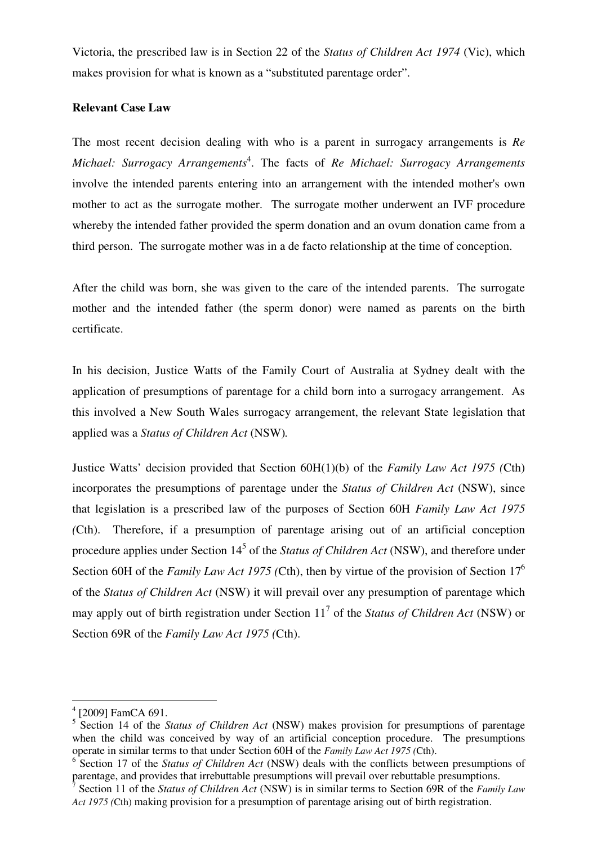Victoria, the prescribed law is in Section 22 of the *Status of Children Act 1974* (Vic), which makes provision for what is known as a "substituted parentage order".

### **Relevant Case Law**

The most recent decision dealing with who is a parent in surrogacy arrangements is *Re Michael: Surrogacy Arrangements*<sup>4</sup> . The facts of *Re Michael: Surrogacy Arrangements* involve the intended parents entering into an arrangement with the intended mother's own mother to act as the surrogate mother. The surrogate mother underwent an IVF procedure whereby the intended father provided the sperm donation and an ovum donation came from a third person. The surrogate mother was in a de facto relationship at the time of conception.

After the child was born, she was given to the care of the intended parents. The surrogate mother and the intended father (the sperm donor) were named as parents on the birth certificate.

In his decision, Justice Watts of the Family Court of Australia at Sydney dealt with the application of presumptions of parentage for a child born into a surrogacy arrangement. As this involved a New South Wales surrogacy arrangement, the relevant State legislation that applied was a *Status of Children Act* (NSW)*.*

Justice Watts' decision provided that Section 60H(1)(b) of the *Family Law Act 1975 (*Cth) incorporates the presumptions of parentage under the *Status of Children Act* (NSW), since that legislation is a prescribed law of the purposes of Section 60H *Family Law Act 1975 (*Cth). Therefore, if a presumption of parentage arising out of an artificial conception procedure applies under Section 14<sup>5</sup> of the *Status of Children Act* (NSW), and therefore under Section 60H of the *Family Law Act 1975 (*Cth), then by virtue of the provision of Section 17<sup>6</sup> of the *Status of Children Act* (NSW) it will prevail over any presumption of parentage which may apply out of birth registration under Section 11 7 of the *Status of Children Act* (NSW) or Section 69R of the *Family Law Act 1975 (*Cth).

 $\overline{a}$ 

<sup>4</sup> [2009] FamCA 691.

<sup>5</sup> Section 14 of the *Status of Children Act* (NSW) makes provision for presumptions of parentage when the child was conceived by way of an artificial conception procedure. The presumptions operate in similar terms to that under Section 60H of the *Family Law Act 1975 (*Cth).

<sup>&</sup>lt;sup>6</sup> Section 17 of the *Status of Children Act* (NSW) deals with the conflicts between presumptions of parentage, and provides that irrebuttable presumptions will prevail over rebuttable presumptions.<br>
<sup>7</sup> Section 11 of the Status of Children Act (NSW) is in similar terms to Section 60B of the Equile

Section 11 of the *Status of Children Act* (NSW) is in similar terms to Section 69R of the *Family Law Act 1975 (*Cth) making provision for a presumption of parentage arising out of birth registration.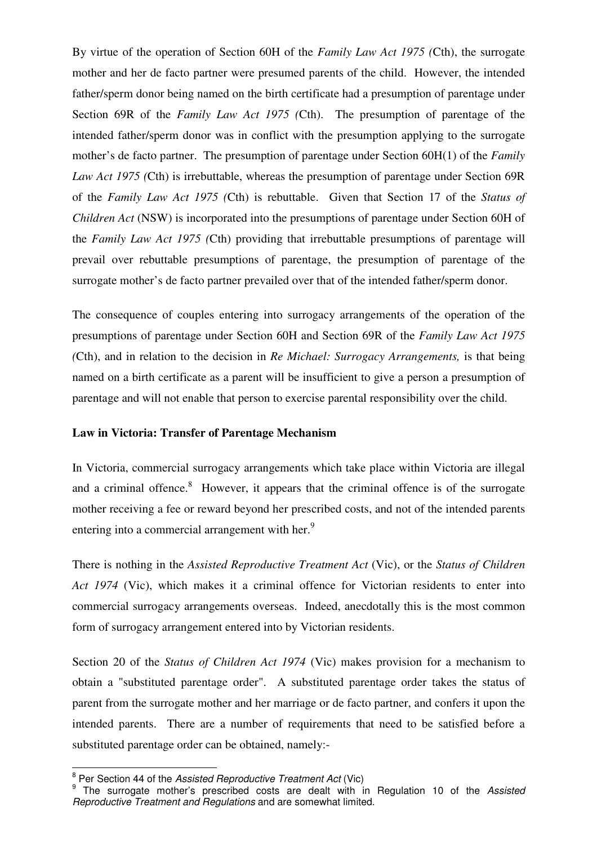By virtue of the operation of Section 60H of the *Family Law Act 1975 (*Cth), the surrogate mother and her de facto partner were presumed parents of the child. However, the intended father/sperm donor being named on the birth certificate had a presumption of parentage under Section 69R of the *Family Law Act 1975 (*Cth). The presumption of parentage of the intended father/sperm donor was in conflict with the presumption applying to the surrogate mother's de facto partner. The presumption of parentage under Section 60H(1) of the *Family Law Act 1975 (*Cth) is irrebuttable, whereas the presumption of parentage under Section 69R of the *Family Law Act 1975 (*Cth) is rebuttable. Given that Section 17 of the *Status of Children Act* (NSW) is incorporated into the presumptions of parentage under Section 60H of the *Family Law Act 1975 (*Cth) providing that irrebuttable presumptions of parentage will prevail over rebuttable presumptions of parentage, the presumption of parentage of the surrogate mother's de facto partner prevailed over that of the intended father/sperm donor.

The consequence of couples entering into surrogacy arrangements of the operation of the presumptions of parentage under Section 60H and Section 69R of the *Family Law Act 1975 (*Cth), and in relation to the decision in *Re Michael: Surrogacy Arrangements,* is that being named on a birth certificate as a parent will be insufficient to give a person a presumption of parentage and will not enable that person to exercise parental responsibility over the child.

#### **Law in Victoria: Transfer of Parentage Mechanism**

In Victoria, commercial surrogacy arrangements which take place within Victoria are illegal and a criminal offence. $8$  However, it appears that the criminal offence is of the surrogate mother receiving a fee or reward beyond her prescribed costs, and not of the intended parents entering into a commercial arrangement with her.<sup>9</sup>

There is nothing in the *Assisted Reproductive Treatment Act* (Vic), or the *Status of Children Act 1974* (Vic), which makes it a criminal offence for Victorian residents to enter into commercial surrogacy arrangements overseas. Indeed, anecdotally this is the most common form of surrogacy arrangement entered into by Victorian residents.

Section 20 of the *Status of Children Act 1974* (Vic) makes provision for a mechanism to obtain a "substituted parentage order". A substituted parentage order takes the status of parent from the surrogate mother and her marriage or de facto partner, and confers it upon the intended parents. There are a number of requirements that need to be satisfied before a substituted parentage order can be obtained, namely:-

er Section 44 of the Assisted Reproductive Treatment Act (Vic)

<sup>&</sup>lt;sup>9</sup> The surrogate mother's prescribed costs are dealt with in Regulation 10 of the Assisted Reproductive Treatment and Regulations and are somewhat limited.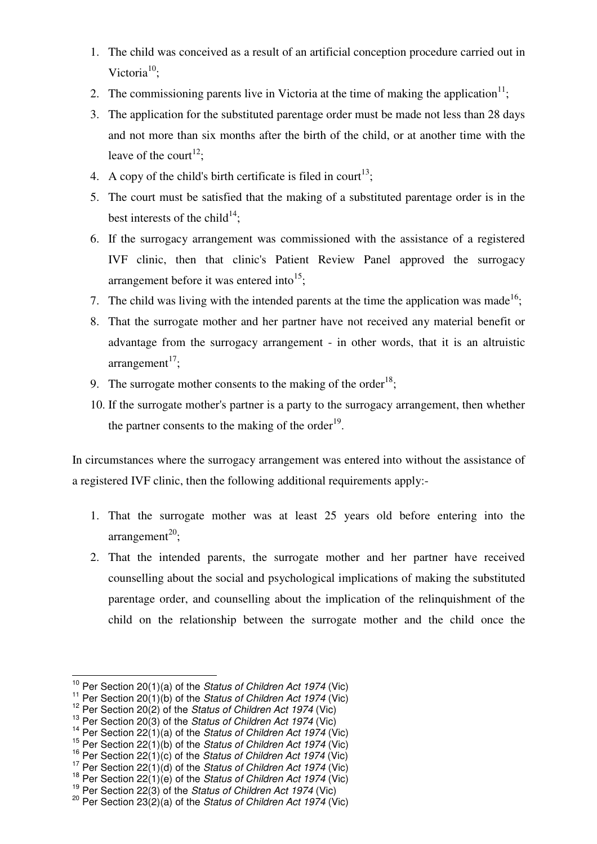- 1. The child was conceived as a result of an artificial conception procedure carried out in Victoria $^{10}$ ;
- 2. The commissioning parents live in Victoria at the time of making the application $11$ ;
- 3. The application for the substituted parentage order must be made not less than 28 days and not more than six months after the birth of the child, or at another time with the leave of the court<sup>12</sup>;
- 4. A copy of the child's birth certificate is filed in court<sup>13</sup>;
- 5. The court must be satisfied that the making of a substituted parentage order is in the best interests of the child<sup>14</sup>;
- 6. If the surrogacy arrangement was commissioned with the assistance of a registered IVF clinic, then that clinic's Patient Review Panel approved the surrogacy arrangement before it was entered into<sup>15</sup>;
- 7. The child was living with the intended parents at the time the application was made<sup>16</sup>;
- 8. That the surrogate mother and her partner have not received any material benefit or advantage from the surrogacy arrangement - in other words, that it is an altruistic  $arrangement<sup>17</sup>$ ;
- 9. The surrogate mother consents to the making of the order<sup>18</sup>;
- 10. If the surrogate mother's partner is a party to the surrogacy arrangement, then whether the partner consents to the making of the order $19$ .

In circumstances where the surrogacy arrangement was entered into without the assistance of a registered IVF clinic, then the following additional requirements apply:-

- 1. That the surrogate mother was at least 25 years old before entering into the  $arrangement^{20}$ ;
- 2. That the intended parents, the surrogate mother and her partner have received counselling about the social and psychological implications of making the substituted parentage order, and counselling about the implication of the relinquishment of the child on the relationship between the surrogate mother and the child once the

 <sup>10</sup> Per Section 20(1)(a) of the *Status of Children Act 1974* (Vic)

<sup>&</sup>lt;sup>11</sup> Per Section 20(1)(b) of the Status of Children Act 1974 (Vic)

 $12^{12}$  Per Section 20(2) of the Status of Children Act 1974 (Vic)

 $13$  Per Section 20(3) of the Status of Children Act 1974 (Vic)

<sup>&</sup>lt;sup>14</sup> Per Section 22(1)(a) of the *Status of Children Act 1974* (Vic)

<sup>&</sup>lt;sup>15</sup> Per Section 22(1)(b) of the *Status of Children Act 1974* (Vic)

<sup>&</sup>lt;sup>16</sup> Per Section 22(1)(c) of the *Status of Children Act 1974* (Vic)

<sup>&</sup>lt;sup>17</sup> Per Section 22(1)(d) of the *Status of Children Act 1974* (Vic)

<sup>&</sup>lt;sup>18</sup> Per Section 22(1)(e) of the Status of Children Act 1974 (Vic)

<sup>&</sup>lt;sup>19</sup> Per Section 22(3) of the *Status of Children Act 1974* (Vic)

<sup>&</sup>lt;sup>20</sup> Per Section 23 $\overline{2}$ <sup>2</sup>(a) of the *Status of Children Act 1974* (Vic)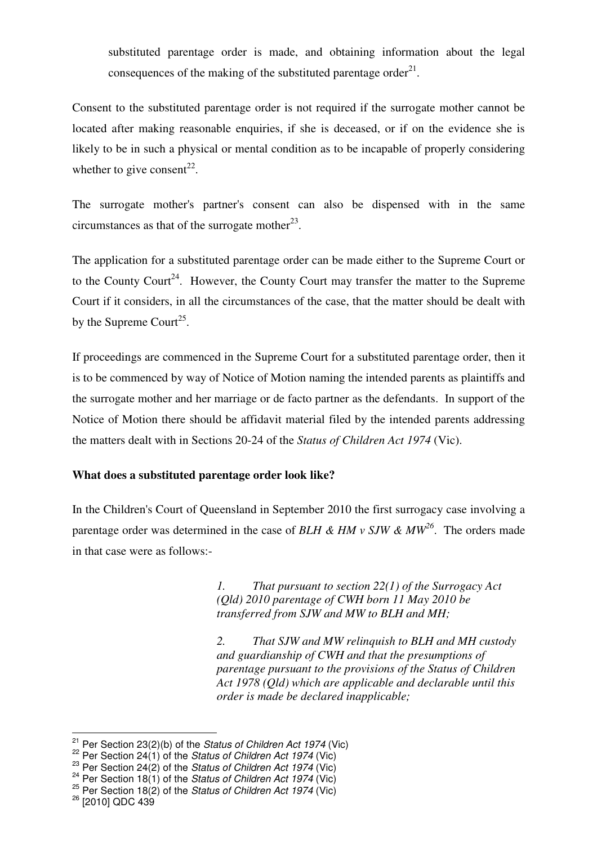substituted parentage order is made, and obtaining information about the legal consequences of the making of the substituted parentage order $^{21}$ .

Consent to the substituted parentage order is not required if the surrogate mother cannot be located after making reasonable enquiries, if she is deceased, or if on the evidence she is likely to be in such a physical or mental condition as to be incapable of properly considering whether to give consent<sup>22</sup>.

The surrogate mother's partner's consent can also be dispensed with in the same circumstances as that of the surrogate mother $^{23}$ .

The application for a substituted parentage order can be made either to the Supreme Court or to the County Court<sup>24</sup>. However, the County Court may transfer the matter to the Supreme Court if it considers, in all the circumstances of the case, that the matter should be dealt with by the Supreme Court<sup>25</sup>.

If proceedings are commenced in the Supreme Court for a substituted parentage order, then it is to be commenced by way of Notice of Motion naming the intended parents as plaintiffs and the surrogate mother and her marriage or de facto partner as the defendants. In support of the Notice of Motion there should be affidavit material filed by the intended parents addressing the matters dealt with in Sections 20-24 of the *Status of Children Act 1974* (Vic).

#### **What does a substituted parentage order look like?**

In the Children's Court of Queensland in September 2010 the first surrogacy case involving a parentage order was determined in the case of *BLH & HM v SJW & MW*<sup>26</sup>. The orders made in that case were as follows:-

> *1. That pursuant to section 22(1) of the Surrogacy Act (Qld) 2010 parentage of CWH born 11 May 2010 be transferred from SJW and MW to BLH and MH;*

*2. That SJW and MW relinquish to BLH and MH custody and guardianship of CWH and that the presumptions of parentage pursuant to the provisions of the Status of Children Act 1978 (Qld) which are applicable and declarable until this order is made be declared inapplicable;* 

 $\overline{\phantom{a}}$ 

<sup>&</sup>lt;sup>21</sup> Per Section 23(2)(b) of the *Status of Children Act 1974* (Vic)

<sup>&</sup>lt;sup>22</sup> Per Section 24(1) of the Status of Children Act 1974 (Vic)

<sup>&</sup>lt;sup>23</sup> Per Section 24(2) of the Status of Children Act 1974 (Vic)

 $24$  Per Section 18(1) of the Status of Children Act 1974 (Vic)

 $25$  Per Section 18(2) of the Status of Children Act 1974 (Vic)

<sup>&</sup>lt;sup>26</sup> [2010] QDC 439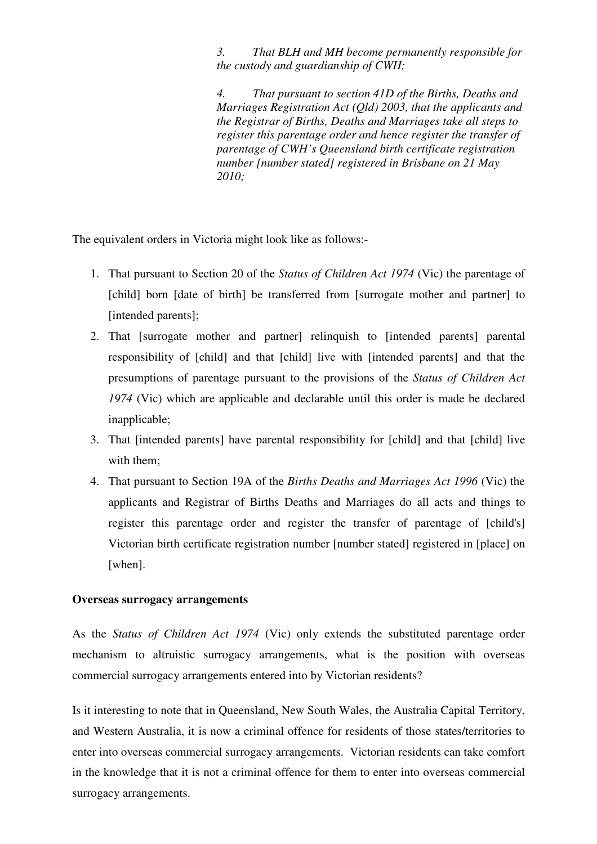*3. That BLH and MH become permanently responsible for the custody and guardianship of CWH;* 

*4. That pursuant to section 41D of the Births, Deaths and Marriages Registration Act (Qld) 2003, that the applicants and the Registrar of Births, Deaths and Marriages take all steps to register this parentage order and hence register the transfer of parentage of CWH's Queensland birth certificate registration number [number stated] registered in Brisbane on 21 May 2010;* 

The equivalent orders in Victoria might look like as follows:-

- 1. That pursuant to Section 20 of the *Status of Children Act 1974* (Vic) the parentage of [child] born [date of birth] be transferred from [surrogate mother and partner] to [intended parents];
- 2. That [surrogate mother and partner] relinquish to [intended parents] parental responsibility of [child] and that [child] live with [intended parents] and that the presumptions of parentage pursuant to the provisions of the *Status of Children Act 1974* (Vic) which are applicable and declarable until this order is made be declared inapplicable;
- 3. That [intended parents] have parental responsibility for [child] and that [child] live with them:
- 4. That pursuant to Section 19A of the *Births Deaths and Marriages Act 1996* (Vic) the applicants and Registrar of Births Deaths and Marriages do all acts and things to register this parentage order and register the transfer of parentage of [child's] Victorian birth certificate registration number [number stated] registered in [place] on [when].

#### **Overseas surrogacy arrangements**

As the *Status of Children Act 1974* (Vic) only extends the substituted parentage order mechanism to altruistic surrogacy arrangements, what is the position with overseas commercial surrogacy arrangements entered into by Victorian residents?

Is it interesting to note that in Queensland, New South Wales, the Australia Capital Territory, and Western Australia, it is now a criminal offence for residents of those states/territories to enter into overseas commercial surrogacy arrangements. Victorian residents can take comfort in the knowledge that it is not a criminal offence for them to enter into overseas commercial surrogacy arrangements.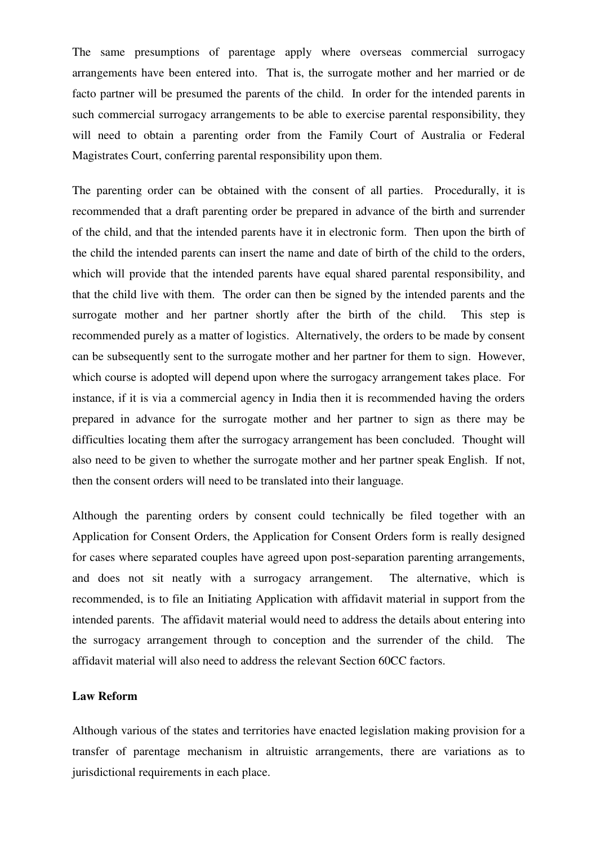The same presumptions of parentage apply where overseas commercial surrogacy arrangements have been entered into. That is, the surrogate mother and her married or de facto partner will be presumed the parents of the child. In order for the intended parents in such commercial surrogacy arrangements to be able to exercise parental responsibility, they will need to obtain a parenting order from the Family Court of Australia or Federal Magistrates Court, conferring parental responsibility upon them.

The parenting order can be obtained with the consent of all parties. Procedurally, it is recommended that a draft parenting order be prepared in advance of the birth and surrender of the child, and that the intended parents have it in electronic form. Then upon the birth of the child the intended parents can insert the name and date of birth of the child to the orders, which will provide that the intended parents have equal shared parental responsibility, and that the child live with them. The order can then be signed by the intended parents and the surrogate mother and her partner shortly after the birth of the child. This step is recommended purely as a matter of logistics. Alternatively, the orders to be made by consent can be subsequently sent to the surrogate mother and her partner for them to sign. However, which course is adopted will depend upon where the surrogacy arrangement takes place. For instance, if it is via a commercial agency in India then it is recommended having the orders prepared in advance for the surrogate mother and her partner to sign as there may be difficulties locating them after the surrogacy arrangement has been concluded. Thought will also need to be given to whether the surrogate mother and her partner speak English. If not, then the consent orders will need to be translated into their language.

Although the parenting orders by consent could technically be filed together with an Application for Consent Orders, the Application for Consent Orders form is really designed for cases where separated couples have agreed upon post-separation parenting arrangements, and does not sit neatly with a surrogacy arrangement. The alternative, which is recommended, is to file an Initiating Application with affidavit material in support from the intended parents. The affidavit material would need to address the details about entering into the surrogacy arrangement through to conception and the surrender of the child. The affidavit material will also need to address the relevant Section 60CC factors.

### **Law Reform**

Although various of the states and territories have enacted legislation making provision for a transfer of parentage mechanism in altruistic arrangements, there are variations as to jurisdictional requirements in each place.